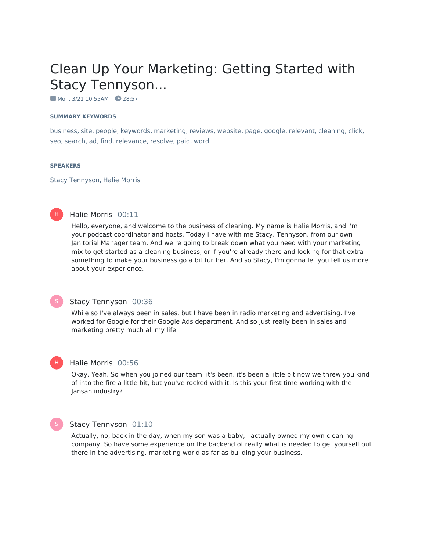# Clean Up Your Marketing: Getting Started with Stacy Tennyson...

 $M$ on, 3/21 10:55AM  $28:57$ 

#### **SUMMARY KEYWORDS**

business, site, people, keywords, marketing, reviews, website, page, google, relevant, cleaning, click, seo, search, ad, find, relevance, resolve, paid, word

#### **SPEAKERS**

Stacy Tennyson, Halie Morris

#### H)

#### Halie Morris 00:11

Hello, everyone, and welcome to the business of cleaning. My name is Halie Morris, and I'm your podcast coordinator and hosts. Today I have with me Stacy, Tennyson, from our own Janitorial Manager team. And we're going to break down what you need with your marketing mix to get started as a cleaning business, or if you're already there and looking for that extra something to make your business go a bit further. And so Stacy, I'm gonna let you tell us more about your experience.

#### Stacy Tennyson 00:36

While so I've always been in sales, but I have been in radio marketing and advertising. I've worked for Google for their Google Ads department. And so just really been in sales and marketing pretty much all my life.

#### Halie Morris 00:56

Okay. Yeah. So when you joined our team, it's been, it's been a little bit now we threw you kind of into the fire a little bit, but you've rocked with it. Is this your first time working with the Jansan industry?



H

#### Stacy Tennyson 01:10

Actually, no, back in the day, when my son was a baby, I actually owned my own cleaning company. So have some experience on the backend of really what is needed to get yourself out there in the advertising, marketing world as far as building your business.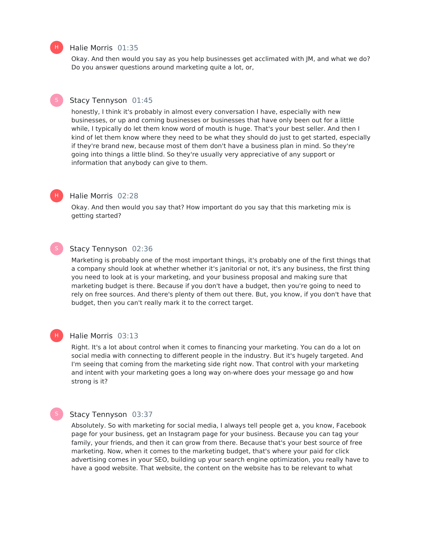#### Halie Morris 01:35

Okay. And then would you say as you help businesses get acclimated with JM, and what we do? Do you answer questions around marketing quite a lot, or,

#### Stacy Tennyson 01:45

honestly, I think it's probably in almost every conversation I have, especially with new businesses, or up and coming businesses or businesses that have only been out for a little while, I typically do let them know word of mouth is huge. That's your best seller. And then I kind of let them know where they need to be what they should do just to get started, especially if they're brand new, because most of them don't have a business plan in mind. So they're going into things a little blind. So they're usually very appreciative of any support or information that anybody can give to them.

#### Halie Morris 02:28

Okay. And then would you say that? How important do you say that this marketing mix is getting started?

#### Stacy Tennyson 02:36

Marketing is probably one of the most important things, it's probably one of the first things that a company should look at whether whether it's janitorial or not, it's any business, the first thing you need to look at is your marketing, and your business proposal and making sure that marketing budget is there. Because if you don't have a budget, then you're going to need to rely on free sources. And there's plenty of them out there. But, you know, if you don't have that budget, then you can't really mark it to the correct target.

#### Halie Morris 03:13 H |

Right. It's a lot about control when it comes to financing your marketing. You can do a lot on social media with connecting to different people in the industry. But it's hugely targeted. And I'm seeing that coming from the marketing side right now. That control with your marketing and intent with your marketing goes a long way on-where does your message go and how strong is it?

#### Stacy Tennyson 03:37

Absolutely. So with marketing for social media, I always tell people get a, you know, Facebook page for your business, get an Instagram page for your business. Because you can tag your family, your friends, and then it can grow from there. Because that's your best source of free marketing. Now, when it comes to the marketing budget, that's where your paid for click advertising comes in your SEO, building up your search engine optimization, you really have to have a good website. That website, the content on the website has to be relevant to what



H |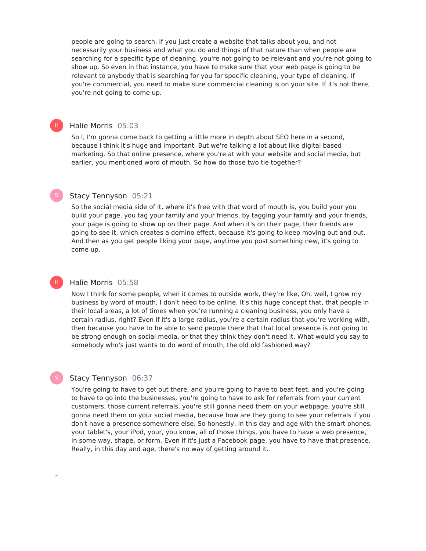people are going to search. If you just create a website that talks about you, and not necessarily your business and what you do and things of that nature than when people are searching for a specific type of cleaning, you're not going to be relevant and you're not going to show up. So even in that instance, you have to make sure that your web page is going to be relevant to anybody that is searching for you for specific cleaning, your type of cleaning. If you're commercial, you need to make sure commercial cleaning is on your site. If it's not there, you're not going to come up.

#### Halie Morris 05:03

H)

H |

So I, I'm gonna come back to getting a little more in depth about SEO here in a second, because I think it's huge and important. But we're talking a lot about like digital based marketing. So that online presence, where you're at with your website and social media, but earlier, you mentioned word of mouth. So how do those two tie together?

#### Stacy Tennyson 05:21

So the social media side of it, where it's free with that word of mouth is, you build your you build your page, you tag your family and your friends, by tagging your family and your friends, your page is going to show up on their page. And when it's on their page, their friends are going to see it, which creates a domino effect, because it's going to keep moving out and out. And then as you get people liking your page, anytime you post something new, it's going to come up.

#### Halie Morris 05:58

Now I think for some people, when it comes to outside work, they're like, Oh, well, I grow my business by word of mouth, I don't need to be online. It's this huge concept that, that people in their local areas, a lot of times when you're running a cleaning business, you only have a certain radius, right? Even if it's a large radius, you're a certain radius that you're working with, then because you have to be able to send people there that that local presence is not going to be strong enough on social media, or that they think they don't need it. What would you say to somebody who's just wants to do word of mouth, the old old fashioned way?

#### Stacy Tennyson 06:37

You're going to have to get out there, and you're going to have to beat feet, and you're going to have to go into the businesses, you're going to have to ask for referrals from your current customers, those current referrals, you're still gonna need them on your webpage, you're still gonna need them on your social media, because how are they going to see your referrals if you don't have a presence somewhere else. So honestly, in this day and age with the smart phones, your tablet's, your iPod, your, you know, all of those things, you have to have a web presence, in some way, shape, or form. Even if it's just a Facebook page, you have to have that presence. Really, in this day and age, there's no way of getting around it.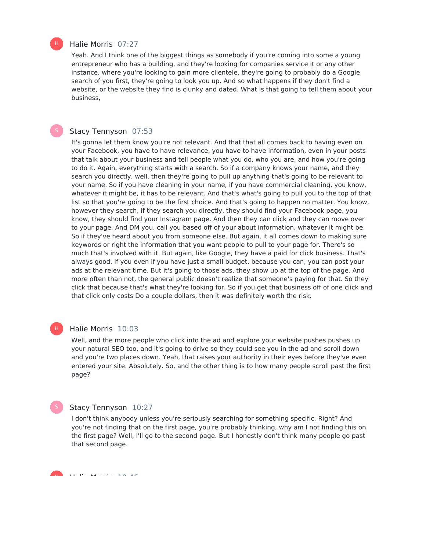

#### Halie Morris 07:27

Yeah. And I think one of the biggest things as somebody if you're coming into some a young entrepreneur who has a building, and they're looking for companies service it or any other instance, where you're looking to gain more clientele, they're going to probably do a Google search of you first, they're going to look you up. And so what happens if they don't find a website, or the website they find is clunky and dated. What is that going to tell them about your business,

#### Stacy Tennyson 07:53

It's gonna let them know you're not relevant. And that that all comes back to having even on your Facebook, you have to have relevance, you have to have information, even in your posts that talk about your business and tell people what you do, who you are, and how you're going to do it. Again, everything starts with a search. So if a company knows your name, and they search you directly, well, then they're going to pull up anything that's going to be relevant to your name. So if you have cleaning in your name, if you have commercial cleaning, you know, whatever it might be, it has to be relevant. And that's what's going to pull you to the top of that list so that you're going to be the first choice. And that's going to happen no matter. You know, however they search, if they search you directly, they should find your Facebook page, you know, they should find your Instagram page. And then they can click and they can move over to your page. And DM you, call you based off of your about information, whatever it might be. So if they've heard about you from someone else. But again, it all comes down to making sure keywords or right the information that you want people to pull to your page for. There's so much that's involved with it. But again, like Google, they have a paid for click business. That's always good. If you even if you have just a small budget, because you can, you can post your ads at the relevant time. But it's going to those ads, they show up at the top of the page. And more often than not, the general public doesn't realize that someone's paying for that. So they click that because that's what they're looking for. So if you get that business off of one click and that click only costs Do a couple dollars, then it was definitely worth the risk.

#### Halie Morris 10:03 H)

Well, and the more people who click into the ad and explore your website pushes pushes up your natural SEO too, and it's going to drive so they could see you in the ad and scroll down and you're two places down. Yeah, that raises your authority in their eyes before they've even entered your site. Absolutely. So, and the other thing is to how many people scroll past the first page?

### Stacy Tennyson 10:27

I don't think anybody unless you're seriously searching for something specific. Right? And you're not finding that on the first page, you're probably thinking, why am I not finding this on the first page? Well, I'll go to the second page. But I honestly don't think many people go past that second page.

Halie Morris 10:46 H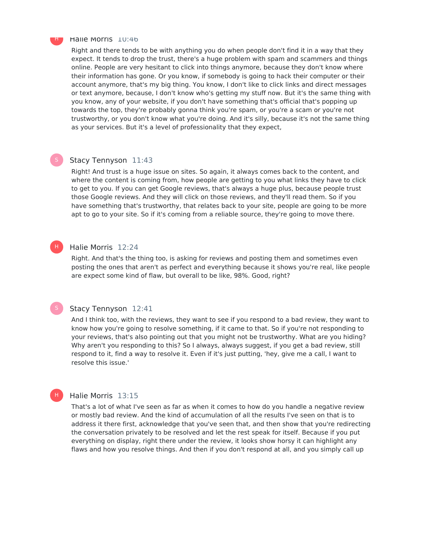

#### Halie Morris 10:46

Right and there tends to be with anything you do when people don't find it in a way that they expect. It tends to drop the trust, there's a huge problem with spam and scammers and things online. People are very hesitant to click into things anymore, because they don't know where their information has gone. Or you know, if somebody is going to hack their computer or their account anymore, that's my big thing. You know, I don't like to click links and direct messages or text anymore, because, I don't know who's getting my stuff now. But it's the same thing with you know, any of your website, if you don't have something that's official that's popping up towards the top, they're probably gonna think you're spam, or you're a scam or you're not trustworthy, or you don't know what you're doing. And it's silly, because it's not the same thing as your services. But it's a level of professionality that they expect,

H)

H

## Stacy Tennyson 11:43

Right! And trust is a huge issue on sites. So again, it always comes back to the content, and where the content is coming from, how people are getting to you what links they have to click to get to you. If you can get Google reviews, that's always a huge plus, because people trust those Google reviews. And they will click on those reviews, and they'll read them. So if you have something that's trustworthy, that relates back to your site, people are going to be more apt to go to your site. So if it's coming from a reliable source, they're going to move there.

#### Halie Morris 12:24

Right. And that's the thing too, is asking for reviews and posting them and sometimes even posting the ones that aren't as perfect and everything because it shows you're real, like people are expect some kind of flaw, but overall to be like, 98%. Good, right?

#### Stacy Tennyson 12:41

And I think too, with the reviews, they want to see if you respond to a bad review, they want to know how you're going to resolve something, if it came to that. So if you're not responding to your reviews, that's also pointing out that you might not be trustworthy. What are you hiding? Why aren't you responding to this? So I always, always suggest, if you get a bad review, still respond to it, find a way to resolve it. Even if it's just putting, 'hey, give me a call, I want to resolve this issue.'

#### Halie Morris 13:15

That's a lot of what I've seen as far as when it comes to how do you handle a negative review or mostly bad review. And the kind of accumulation of all the results I've seen on that is to address it there first, acknowledge that you've seen that, and then show that you're redirecting the conversation privately to be resolved and let the rest speak for itself. Because if you put everything on display, right there under the review, it looks show horsy it can highlight any flaws and how you resolve things. And then if you don't respond at all, and you simply call up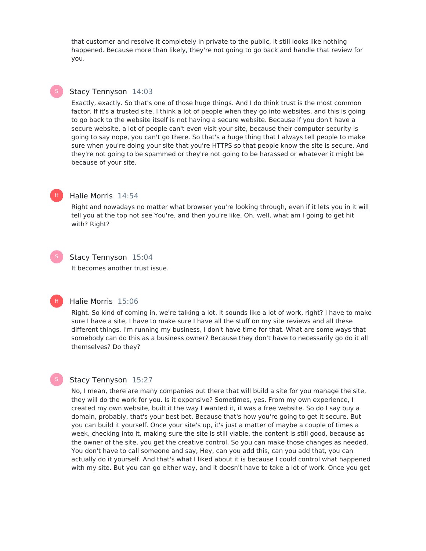that customer and resolve it completely in private to the public, it still looks like nothing happened. Because more than likely, they're not going to go back and handle that review for you.

### Stacy Tennyson 14:03

Exactly, exactly. So that's one of those huge things. And I do think trust is the most common factor. If it's a trusted site. I think a lot of people when they go into websites, and this is going to go back to the website itself is not having a secure website. Because if you don't have a secure website, a lot of people can't even visit your site, because their computer security is going to say nope, you can't go there. So that's a huge thing that I always tell people to make sure when you're doing your site that you're HTTPS so that people know the site is secure. And they're not going to be spammed or they're not going to be harassed or whatever it might be because of your site.



### Halie Morris 14:54

Right and nowadays no matter what browser you're looking through, even if it lets you in it will tell you at the top not see You're, and then you're like, Oh, well, what am I going to get hit with? Right?



H |

#### Stacy Tennyson 15:04

It becomes another trust issue.

#### Halie Morris 15:06

Right. So kind of coming in, we're talking a lot. It sounds like a lot of work, right? I have to make sure I have a site, I have to make sure I have all the stuff on my site reviews and all these different things. I'm running my business, I don't have time for that. What are some ways that somebody can do this as a business owner? Because they don't have to necessarily go do it all themselves? Do they?

#### Stacy Tennyson 15:27

No, I mean, there are many companies out there that will build a site for you manage the site, they will do the work for you. Is it expensive? Sometimes, yes. From my own experience, I created my own website, built it the way I wanted it, it was a free website. So do I say buy a domain, probably, that's your best bet. Because that's how you're going to get it secure. But you can build it yourself. Once your site's up, it's just a matter of maybe a couple of times a week, checking into it, making sure the site is still viable, the content is still good, because as the owner of the site, you get the creative control. So you can make those changes as needed. You don't have to call someone and say, Hey, can you add this, can you add that, you can actually do it yourself. And that's what I liked about it is because I could control what happened with my site. But you can go either way, and it doesn't have to take a lot of work. Once you get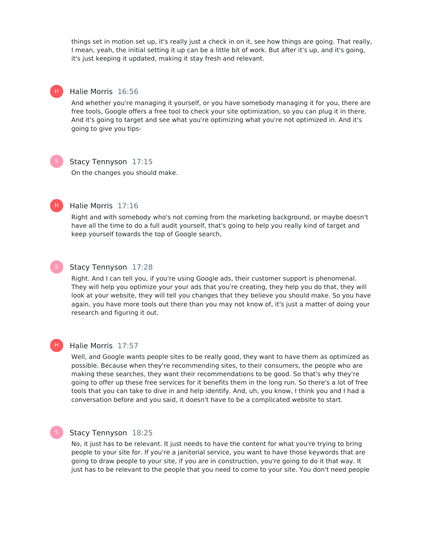things set in motion set up, it's really just a check in on it, see how things are going. That really, I mean, yeah, the initial setting it up can be a little bit of work. But after it's up, and it's going, it's just keeping it updated, making it stay fresh and relevant.

#### Halie Morris 16:56

And whether you're managing it yourself, or you have somebody managing it for you, there are free tools, Google offers a free tool to check your site optimization, so you can plug it in there. And it's going to target and see what you're optimizing what you're not optimized in. And it's going to give you tips-

H |

#### Stacy Tennyson 17:15

On the changes you should make.



### Halie Morris 17:16

Right and with somebody who's not coming from the marketing background, or maybe doesn't have all the time to do a full audit yourself, that's going to help you really kind of target and keep yourself towards the top of Google search,



#### Stacy Tennyson 17:28

Right. And I can tell you, if you're using Google ads, their customer support is phenomenal. They will help you optimize your your ads that you're creating, they help you do that, they will look at your website, they will tell you changes that they believe you should make. So you have again, you have more tools out there than you may not know of, it's just a matter of doing your research and figuring it out.

# H)

### Halie Morris 17:57

Well, and Google wants people sites to be really good, they want to have them as optimized as possible. Because when they're recommending sites, to their consumers, the people who are making these searches, they want their recommendations to be good. So that's why they're going to offer up these free services for it benefits them in the long run. So there's a lot of free tools that you can take to dive in and help identify. And, uh, you know, I think you and I had a conversation before and you said, it doesn't have to be a complicated website to start.

### Stacy Tennyson 18:25

No, it just has to be relevant. It just needs to have the content for what you're trying to bring people to your site for. If you're a janitorial service, you want to have those keywords that are going to draw people to your site, if you are in construction, you're going to do it that way. It just has to be relevant to the people that you need to come to your site. You don't need people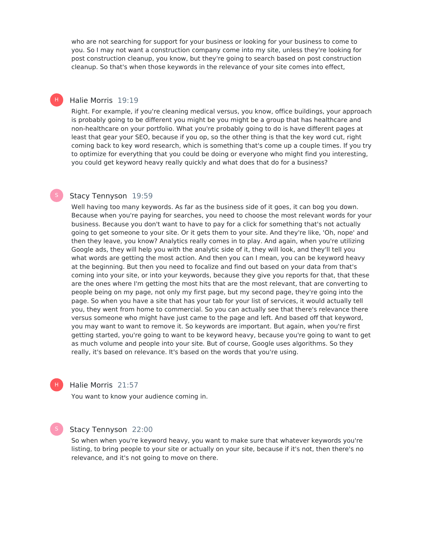who are not searching for support for your business or looking for your business to come to you. So I may not want a construction company come into my site, unless they're looking for post construction cleanup, you know, but they're going to search based on post construction cleanup. So that's when those keywords in the relevance of your site comes into effect,

#### Halie Morris 19:19

H)

Right. For example, if you're cleaning medical versus, you know, office buildings, your approach is probably going to be different you might be you might be a group that has healthcare and non-healthcare on your portfolio. What you're probably going to do is have different pages at least that gear your SEO, because if you op, so the other thing is that the key word cut, right coming back to key word research, which is something that's come up a couple times. If you try to optimize for everything that you could be doing or everyone who might find you interesting, you could get keyword heavy really quickly and what does that do for a business?

#### Stacy Tennyson 19:59

Well having too many keywords. As far as the business side of it goes, it can bog you down. Because when you're paying for searches, you need to choose the most relevant words for your business. Because you don't want to have to pay for a click for something that's not actually going to get someone to your site. Or it gets them to your site. And they're like, 'Oh, nope' and then they leave, you know? Analytics really comes in to play. And again, when you're utilizing Google ads, they will help you with the analytic side of it, they will look, and they'll tell you what words are getting the most action. And then you can I mean, you can be keyword heavy at the beginning. But then you need to focalize and find out based on your data from that's coming into your site, or into your keywords, because they give you reports for that, that these are the ones where I'm getting the most hits that are the most relevant, that are converting to people being on my page, not only my first page, but my second page, they're going into the page. So when you have a site that has your tab for your list of services, it would actually tell you, they went from home to commercial. So you can actually see that there's relevance there versus someone who might have just came to the page and left. And based off that keyword, you may want to want to remove it. So keywords are important. But again, when you're first getting started, you're going to want to be keyword heavy, because you're going to want to get as much volume and people into your site. But of course, Google uses algorithms. So they really, it's based on relevance. It's based on the words that you're using.



#### Halie Morris 21:57

You want to know your audience coming in.

#### Stacy Tennyson 22:00

So when when you're keyword heavy, you want to make sure that whatever keywords you're listing, to bring people to your site or actually on your site, because if it's not, then there's no relevance, and it's not going to move on there.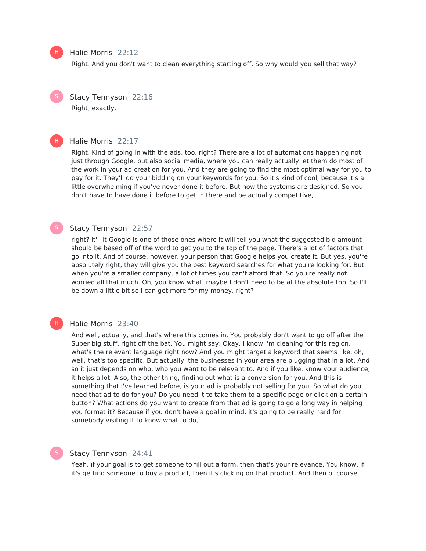#### Halie Morris 22:12

Right. And you don't want to clean everything starting off. So why would you sell that way?

Stacy Tennyson 22:16 Right, exactly.

#### Halie Morris 22:17

Right. Kind of going in with the ads, too, right? There are a lot of automations happening not just through Google, but also social media, where you can really actually let them do most of the work in your ad creation for you. And they are going to find the most optimal way for you to pay for it. They'll do your bidding on your keywords for you. So it's kind of cool, because it's a little overwhelming if you've never done it before. But now the systems are designed. So you don't have to have done it before to get in there and be actually competitive,

### Stacy Tennyson 22:57

right? It'll it Google is one of those ones where it will tell you what the suggested bid amount should be based off of the word to get you to the top of the page. There's a lot of factors that go into it. And of course, however, your person that Google helps you create it. But yes, you're absolutely right, they will give you the best keyword searches for what you're looking for. But when you're a smaller company, a lot of times you can't afford that. So you're really not worried all that much. Oh, you know what, maybe I don't need to be at the absolute top. So I'll be down a little bit so I can get more for my money, right?

#### Halie Morris 23:40

And well, actually, and that's where this comes in. You probably don't want to go off after the Super big stuff, right off the bat. You might say, Okay, I know I'm cleaning for this region, what's the relevant language right now? And you might target a keyword that seems like, oh, well, that's too specific. But actually, the businesses in your area are plugging that in a lot. And so it just depends on who, who you want to be relevant to. And if you like, know your audience, it helps a lot. Also, the other thing, finding out what is a conversion for you. And this is something that I've learned before, is your ad is probably not selling for you. So what do you need that ad to do for you? Do you need it to take them to a specific page or click on a certain button? What actions do you want to create from that ad is going to go a long way in helping you format it? Because if you don't have a goal in mind, it's going to be really hard for somebody visiting it to know what to do,

#### Stacy Tennyson 24:41

Yeah, if your goal is to get someone to fill out a form, then that's your relevance. You know, if it's getting someone to buy a product, then it's clicking on that product. And then of course,



H |

H)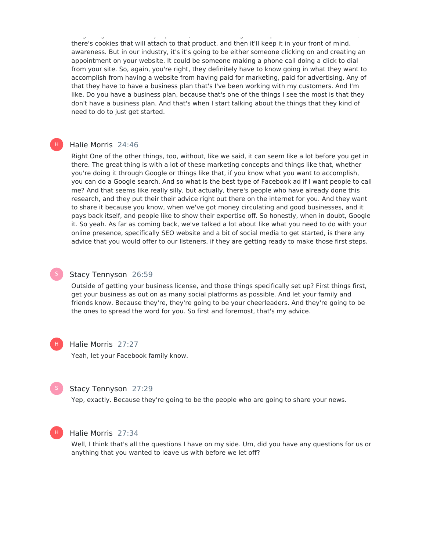it's getting someone to buy a product, then it's clicking on that product. And then of course, there's cookies that will attach to that product, and then it'll keep it in your front of mind. awareness. But in our industry, it's it's going to be either someone clicking on and creating an appointment on your website. It could be someone making a phone call doing a click to dial from your site. So, again, you're right, they definitely have to know going in what they want to accomplish from having a website from having paid for marketing, paid for advertising. Any of that they have to have a business plan that's I've been working with my customers. And I'm like, Do you have a business plan, because that's one of the things I see the most is that they don't have a business plan. And that's when I start talking about the things that they kind of need to do to just get started.

#### Halie Morris 24:46

Right One of the other things, too, without, like we said, it can seem like a lot before you get in there. The great thing is with a lot of these marketing concepts and things like that, whether you're doing it through Google or things like that, if you know what you want to accomplish, you can do a Google search. And so what is the best type of Facebook ad if I want people to call me? And that seems like really silly, but actually, there's people who have already done this research, and they put their their advice right out there on the internet for you. And they want to share it because you know, when we've got money circulating and good businesses, and it pays back itself, and people like to show their expertise off. So honestly, when in doubt, Google it. So yeah. As far as coming back, we've talked a lot about like what you need to do with your online presence, specifically SEO website and a bit of social media to get started, is there any advice that you would offer to our listeners, if they are getting ready to make those first steps.



H)

#### Stacy Tennyson 26:59

Outside of getting your business license, and those things specifically set up? First things first, get your business as out on as many social platforms as possible. And let your family and friends know. Because they're, they're going to be your cheerleaders. And they're going to be the ones to spread the word for you. So first and foremost, that's my advice.



#### Halie Morris 27:27

Yeah, let your Facebook family know.



#### Stacy Tennyson 27:29

Yep, exactly. Because they're going to be the people who are going to share your news.



#### Halie Morris 27:34

Well, I think that's all the questions I have on my side. Um, did you have any questions for us or anything that you wanted to leave us with before we let off?